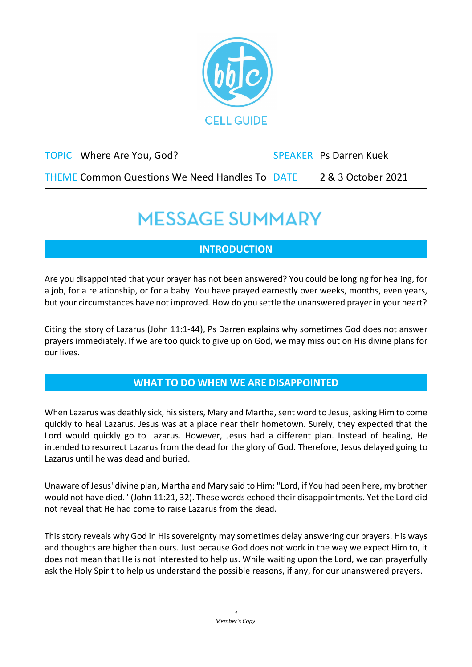

| TOPIC Where Are You, God?                             | <b>SPEAKER</b> Ps Darren Kuek |
|-------------------------------------------------------|-------------------------------|
| <b>THEME Common Questions We Need Handles To DATE</b> | 2 & 3 October 2021            |

## **MESSAGE SUMMARY**

### **INTRODUCTION**

Are you disappointed that your prayer has not been answered? You could be longing for healing, for a job, for a relationship, or for a baby. You have prayed earnestly over weeks, months, even years, but your circumstances have not improved. How do you settle the unanswered prayer in your heart?

Citing the story of Lazarus (John 11:1-44), Ps Darren explains why sometimes God does not answer prayers immediately. If we are too quick to give up on God, we may miss out on His divine plans for our lives.

#### **WHAT TO DO WHEN WE ARE DISAPPOINTED**

When Lazarus was deathly sick, his sisters, Mary and Martha, sent word to Jesus, asking Him to come quickly to heal Lazarus. Jesus was at a place near their hometown. Surely, they expected that the Lord would quickly go to Lazarus. However, Jesus had a different plan. Instead of healing, He intended to resurrect Lazarus from the dead for the glory of God. Therefore, Jesus delayed going to Lazarus until he was dead and buried.

Unaware of Jesus' divine plan, Martha and Mary said to Him: "Lord, if You had been here, my brother would not have died." (John 11:21, 32). These words echoed their disappointments. Yet the Lord did not reveal that He had come to raise Lazarus from the dead.

This story reveals why God in His sovereignty may sometimes delay answering our prayers. His ways and thoughts are higher than ours. Just because God does not work in the way we expect Him to, it does not mean that He is not interested to help us. While waiting upon the Lord, we can prayerfully ask the Holy Spirit to help us understand the possible reasons, if any, for our unanswered prayers.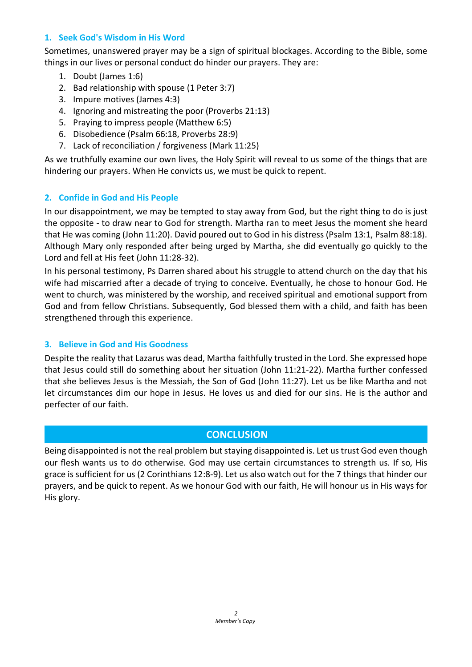#### **1. Seek God's Wisdom in His Word**

Sometimes, unanswered prayer may be a sign of spiritual blockages. According to the Bible, some things in our lives or personal conduct do hinder our prayers. They are:

- 1. Doubt (James 1:6)
- 2. Bad relationship with spouse (1 Peter 3:7)
- 3. Impure motives (James 4:3)
- 4. Ignoring and mistreating the poor (Proverbs 21:13)
- 5. Praying to impress people (Matthew 6:5)
- 6. Disobedience (Psalm 66:18, Proverbs 28:9)
- 7. Lack of reconciliation / forgiveness (Mark 11:25)

As we truthfully examine our own lives, the Holy Spirit will reveal to us some of the things that are hindering our prayers. When He convicts us, we must be quick to repent.

#### **2. Confide in God and His People**

In our disappointment, we may be tempted to stay away from God, but the right thing to do is just the opposite - to draw near to God for strength. Martha ran to meet Jesus the moment she heard that He was coming (John 11:20). David poured out to God in his distress (Psalm 13:1, Psalm 88:18). Although Mary only responded after being urged by Martha, she did eventually go quickly to the Lord and fell at His feet (John 11:28-32).

In his personal testimony, Ps Darren shared about his struggle to attend church on the day that his wife had miscarried after a decade of trying to conceive. Eventually, he chose to honour God. He went to church, was ministered by the worship, and received spiritual and emotional support from God and from fellow Christians. Subsequently, God blessed them with a child, and faith has been strengthened through this experience.

#### **3. Believe in God and His Goodness**

Despite the reality that Lazarus was dead, Martha faithfully trusted in the Lord. She expressed hope that Jesus could still do something about her situation (John 11:21-22). Martha further confessed that she believes Jesus is the Messiah, the Son of God (John 11:27). Let us be like Martha and not let circumstances dim our hope in Jesus. He loves us and died for our sins. He is the author and perfecter of our faith.

#### **CONCLUSION**

Being disappointed is not the real problem but staying disappointed is. Let us trust God even though our flesh wants us to do otherwise. God may use certain circumstances to strength us. If so, His grace is sufficient for us (2 Corinthians 12:8-9). Let us also watch out for the 7 things that hinder our prayers, and be quick to repent. As we honour God with our faith, He will honour us in His ways for His glory.